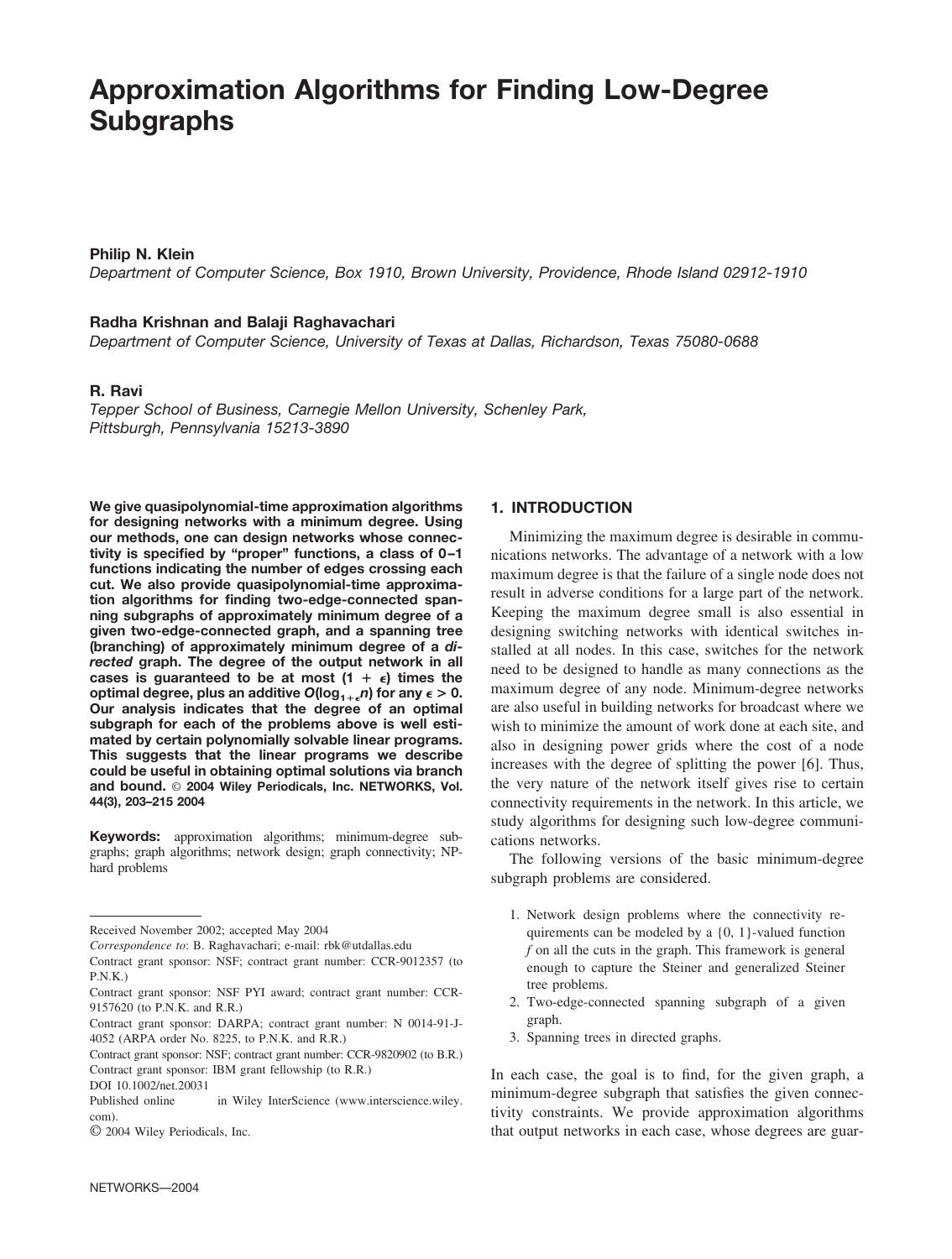# **Approximation Algorithms for Finding Low-Degree Subgraphs**

## **Philip N. Klein**

*Department of Computer Science, Box 1910, Brown University, Providence, Rhode Island 02912-1910*

## **Radha Krishnan and Balaji Raghavachari**

*Department of Computer Science, University of Texas at Dallas, Richardson, Texas 75080-0688*

# **R. Ravi**

*Tepper School of Business, Carnegie Mellon University, Schenley Park, Pittsburgh, Pennsylvania 15213-3890*

**We give quasipolynomial-time approximation algorithms for designing networks with a minimum degree. Using our methods, one can design networks whose connectivity is specified by "proper" functions, a class of 0 –1 functions indicating the number of edges crossing each cut. We also provide quasipolynomial-time approximation algorithms for finding two-edge-connected spanning subgraphs of approximately minimum degree of a given two-edge-connected graph, and a spanning tree (branching) of approximately minimum degree of a** *directed* **graph. The degree of the output network in all** cases is guaranteed to be at most  $(1 + \epsilon)$  times the optimal degree, plus an additive  $O(log_{1+\epsilon} n)$  for any  $\epsilon > 0$ . **Our analysis indicates that the degree of an optimal subgraph for each of the problems above is well estimated by certain polynomially solvable linear programs. This suggests that the linear programs we describe could be useful in obtaining optimal solutions via branch and bound.** © **2004 Wiley Periodicals, Inc. NETWORKS, Vol. 44(3), 203–215 2004**

**Keywords:** approximation algorithms; minimum-degree subgraphs; graph algorithms; network design; graph connectivity; NPhard problems

## **1. INTRODUCTION**

Minimizing the maximum degree is desirable in communications networks. The advantage of a network with a low maximum degree is that the failure of a single node does not result in adverse conditions for a large part of the network. Keeping the maximum degree small is also essential in designing switching networks with identical switches installed at all nodes. In this case, switches for the network need to be designed to handle as many connections as the maximum degree of any node. Minimum-degree networks are also useful in building networks for broadcast where we wish to minimize the amount of work done at each site, and also in designing power grids where the cost of a node increases with the degree of splitting the power [6]. Thus, the very nature of the network itself gives rise to certain connectivity requirements in the network. In this article, we study algorithms for designing such low-degree communications networks.

The following versions of the basic minimum-degree subgraph problems are considered.

- 1. Network design problems where the connectivity requirements can be modeled by a {0, 1}-valued function *f* on all the cuts in the graph. This framework is general enough to capture the Steiner and generalized Steiner tree problems.
- 2. Two-edge-connected spanning subgraph of a given graph.
- 3. Spanning trees in directed graphs.

In each case, the goal is to find, for the given graph, a minimum-degree subgraph that satisfies the given connectivity constraints. We provide approximation algorithms that output networks in each case, whose degrees are guar-

Received November 2002; accepted May 2004

*Correspondence to*: B. Raghavachari; e-mail: rbk@utdallas.edu

Contract grant sponsor: NSF; contract grant number: CCR-9012357 (to  $P.N.K.$ )

Contract grant sponsor: NSF PYI award; contract grant number: CCR-9157620 (to P.N.K. and R.R.)

Contract grant sponsor: DARPA; contract grant number: N 0014-91-J-4052 (ARPA order No. 8225, to P.N.K. and R.R.)

Contract grant sponsor: NSF; contract grant number: CCR-9820902 (to B.R.) Contract grant sponsor: IBM grant fellowship (to R.R.)

DOI 10.1002/net.20031

Published online in Wiley InterScience (www.interscience.wiley. com).

<sup>©</sup> 2004 Wiley Periodicals, Inc.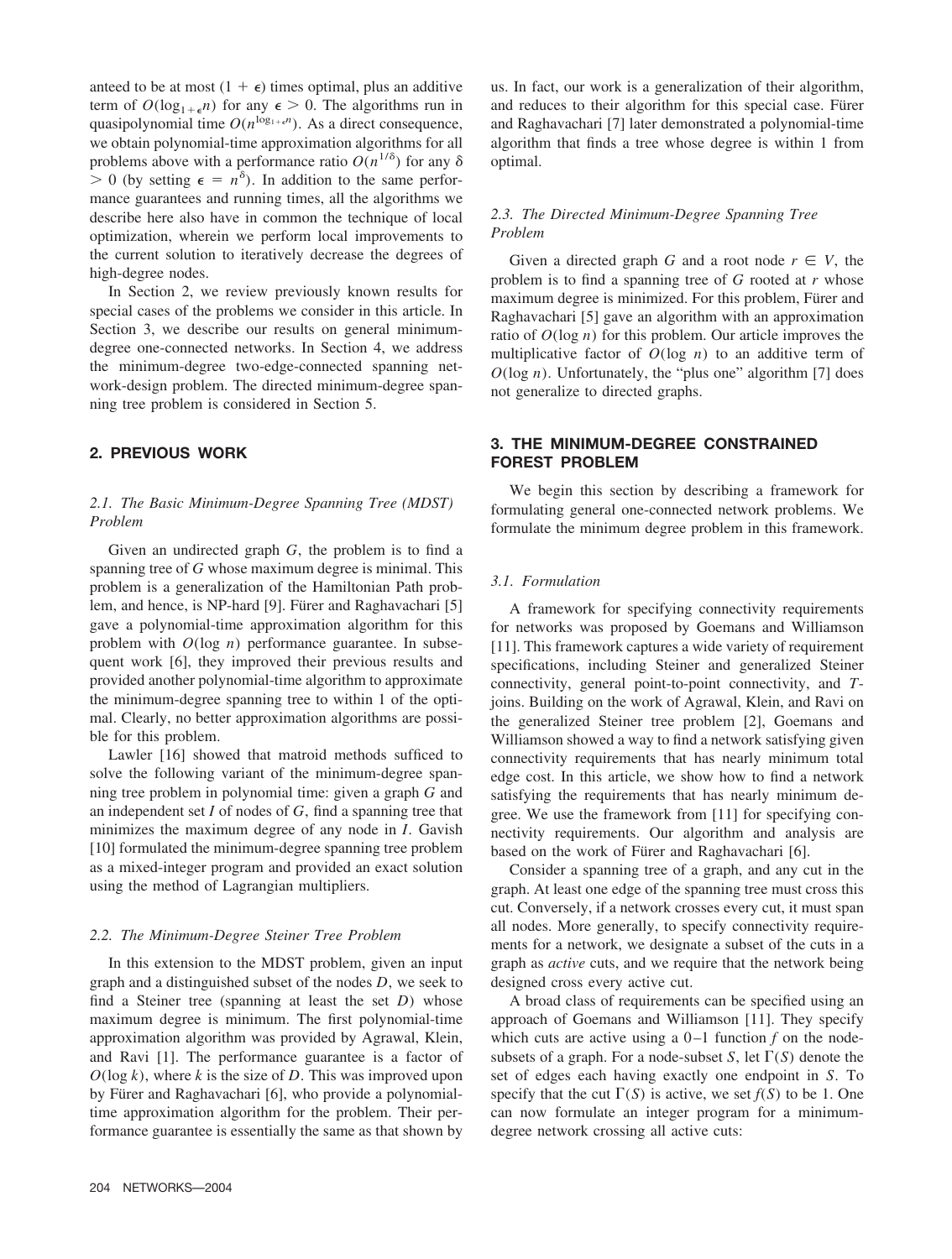anteed to be at most  $(1 + \epsilon)$  times optimal, plus an additive term of  $O(\log_{1+\epsilon} n)$  for any  $\epsilon > 0$ . The algorithms run in quasipolynomial time  $O(n^{\log_{1+\epsilon} n})$ . As a direct consequence, we obtain polynomial-time approximation algorithms for all problems above with a performance ratio  $O(n^{1/\delta})$  for any  $\delta$  $> 0$  (by setting  $\epsilon = n^{\delta}$ ). In addition to the same performance guarantees and running times, all the algorithms we describe here also have in common the technique of local optimization, wherein we perform local improvements to the current solution to iteratively decrease the degrees of high-degree nodes.

In Section 2, we review previously known results for special cases of the problems we consider in this article. In Section 3, we describe our results on general minimumdegree one-connected networks. In Section 4, we address the minimum-degree two-edge-connected spanning network-design problem. The directed minimum-degree spanning tree problem is considered in Section 5.

## **2. PREVIOUS WORK**

# *2.1. The Basic Minimum-Degree Spanning Tree (MDST) Problem*

Given an undirected graph *G*, the problem is to find a spanning tree of *G* whose maximum degree is minimal. This problem is a generalization of the Hamiltonian Path problem, and hence, is NP-hard [9]. Fürer and Raghavachari [5] gave a polynomial-time approximation algorithm for this problem with *O*(log *n*) performance guarantee. In subsequent work [6], they improved their previous results and provided another polynomial-time algorithm to approximate the minimum-degree spanning tree to within 1 of the optimal. Clearly, no better approximation algorithms are possible for this problem.

Lawler [16] showed that matroid methods sufficed to solve the following variant of the minimum-degree spanning tree problem in polynomial time: given a graph *G* and an independent set *I* of nodes of *G*, find a spanning tree that minimizes the maximum degree of any node in *I*. Gavish [10] formulated the minimum-degree spanning tree problem as a mixed-integer program and provided an exact solution using the method of Lagrangian multipliers.

## *2.2. The Minimum-Degree Steiner Tree Problem*

In this extension to the MDST problem, given an input graph and a distinguished subset of the nodes *D*, we seek to find a Steiner tree (spanning at least the set *D*) whose maximum degree is minimum. The first polynomial-time approximation algorithm was provided by Agrawal, Klein, and Ravi [1]. The performance guarantee is a factor of *O*(log *k*), where *k* is the size of *D*. This was improved upon by Fürer and Raghavachari [6], who provide a polynomialtime approximation algorithm for the problem. Their performance guarantee is essentially the same as that shown by

us. In fact, our work is a generalization of their algorithm, and reduces to their algorithm for this special case. Fürer and Raghavachari [7] later demonstrated a polynomial-time algorithm that finds a tree whose degree is within 1 from optimal.

# *2.3. The Directed Minimum-Degree Spanning Tree Problem*

Given a directed graph *G* and a root node  $r \in V$ , the problem is to find a spanning tree of *G* rooted at *r* whose maximum degree is minimized. For this problem, Fürer and Raghavachari [5] gave an algorithm with an approximation ratio of *O*(log *n*) for this problem. Our article improves the multiplicative factor of *O*(log *n*) to an additive term of  $O(\log n)$ . Unfortunately, the "plus one" algorithm [7] does not generalize to directed graphs.

# **3. THE MINIMUM-DEGREE CONSTRAINED FOREST PROBLEM**

We begin this section by describing a framework for formulating general one-connected network problems. We formulate the minimum degree problem in this framework.

## *3.1. Formulation*

A framework for specifying connectivity requirements for networks was proposed by Goemans and Williamson [11]. This framework captures a wide variety of requirement specifications, including Steiner and generalized Steiner connectivity, general point-to-point connectivity, and *T*joins. Building on the work of Agrawal, Klein, and Ravi on the generalized Steiner tree problem [2], Goemans and Williamson showed a way to find a network satisfying given connectivity requirements that has nearly minimum total edge cost. In this article, we show how to find a network satisfying the requirements that has nearly minimum degree. We use the framework from [11] for specifying connectivity requirements. Our algorithm and analysis are based on the work of Fürer and Raghavachari [6].

Consider a spanning tree of a graph, and any cut in the graph. At least one edge of the spanning tree must cross this cut. Conversely, if a network crosses every cut, it must span all nodes. More generally, to specify connectivity requirements for a network, we designate a subset of the cuts in a graph as *active* cuts, and we require that the network being designed cross every active cut.

A broad class of requirements can be specified using an approach of Goemans and Williamson [11]. They specify which cuts are active using a  $0-1$  function  $f$  on the nodesubsets of a graph. For a node-subset *S*, let  $\Gamma(S)$  denote the set of edges each having exactly one endpoint in *S*. To specify that the cut  $\Gamma(S)$  is active, we set  $f(S)$  to be 1. One can now formulate an integer program for a minimumdegree network crossing all active cuts: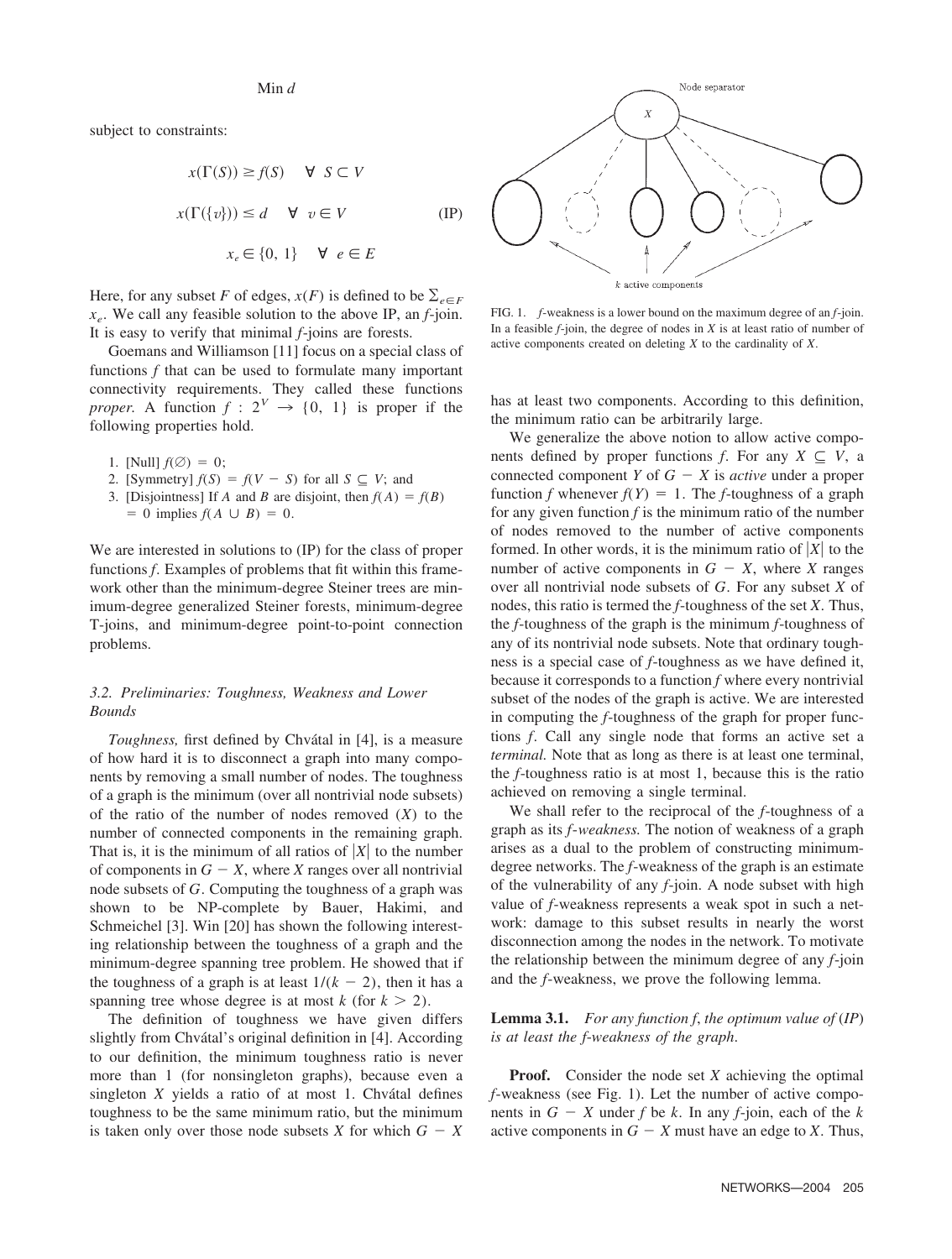## Min *d*

subject to constraints:

$$
x(\Gamma(S)) \ge f(S) \quad \forall \ S \subset V
$$
  

$$
x(\Gamma({v}) \le d \quad \forall \ v \in V
$$
 (IP)  

$$
x_e \in \{0, 1\} \quad \forall \ e \in E
$$

Here, for any subset *F* of edges,  $x(F)$  is defined to be  $\sum_{e \in F}$ *xe*. We call any feasible solution to the above IP, an *f*-join. It is easy to verify that minimal *f*-joins are forests.

Goemans and Williamson [11] focus on a special class of functions *f* that can be used to formulate many important connectivity requirements. They called these functions *proper.* A function  $f: 2^V \rightarrow \{0, 1\}$  is proper if the following properties hold.

- 1. [Null]  $f(\emptyset) = 0$ ;
- 2. [Symmetry]  $f(S) = f(V S)$  for all  $S \subseteq V$ ; and
- 3. [Disjointness] If *A* and *B* are disjoint, then  $f(A) = f(B)$  $= 0$  implies  $f(A \cup B) = 0$ .

We are interested in solutions to (IP) for the class of proper functions *f*. Examples of problems that fit within this framework other than the minimum-degree Steiner trees are minimum-degree generalized Steiner forests, minimum-degree T-joins, and minimum-degree point-to-point connection problems.

# *3.2. Preliminaries: Toughness, Weakness and Lower Bounds*

*Toughness,* first defined by Chvátal in [4], is a measure of how hard it is to disconnect a graph into many components by removing a small number of nodes. The toughness of a graph is the minimum (over all nontrivial node subsets) of the ratio of the number of nodes removed (*X*) to the number of connected components in the remaining graph. That is, it is the minimum of all ratios of  $|X|$  to the number of components in  $G - X$ , where *X* ranges over all nontrivial node subsets of *G*. Computing the toughness of a graph was shown to be NP-complete by Bauer, Hakimi, and Schmeichel [3]. Win [20] has shown the following interesting relationship between the toughness of a graph and the minimum-degree spanning tree problem. He showed that if the toughness of a graph is at least  $1/(k - 2)$ , then it has a spanning tree whose degree is at most  $k$  (for  $k > 2$ ).

The definition of toughness we have given differs slightly from Chvátal's original definition in [4]. According to our definition, the minimum toughness ratio is never more than 1 (for nonsingleton graphs), because even a singleton  $X$  yields a ratio of at most 1. Chvátal defines toughness to be the same minimum ratio, but the minimum is taken only over those node subsets *X* for which  $G - X$ 



FIG. 1. *f*-weakness is a lower bound on the maximum degree of an *f*-join. In a feasible  $f$ -join, the degree of nodes in  $X$  is at least ratio of number of active components created on deleting *X* to the cardinality of *X*.

has at least two components. According to this definition, the minimum ratio can be arbitrarily large.

We generalize the above notion to allow active components defined by proper functions *f*. For any  $X \subseteq V$ , a connected component *Y* of  $G - X$  is *active* under a proper function *f* whenever  $f(Y) = 1$ . The *f*-toughness of a graph for any given function  $f$  is the minimum ratio of the number of nodes removed to the number of active components formed. In other words, it is the minimum ratio of  $|X|$  to the number of active components in  $G - X$ , where *X* ranges over all nontrivial node subsets of *G*. For any subset *X* of nodes, this ratio is termed the *f*-toughness of the set *X*. Thus, the *f*-toughness of the graph is the minimum *f*-toughness of any of its nontrivial node subsets. Note that ordinary toughness is a special case of *f*-toughness as we have defined it, because it corresponds to a function *f* where every nontrivial subset of the nodes of the graph is active. We are interested in computing the *f*-toughness of the graph for proper functions *f*. Call any single node that forms an active set a *terminal.* Note that as long as there is at least one terminal, the *f*-toughness ratio is at most 1, because this is the ratio achieved on removing a single terminal.

We shall refer to the reciprocal of the *f*-toughness of a graph as its *f*-*weakness.* The notion of weakness of a graph arises as a dual to the problem of constructing minimumdegree networks. The *f*-weakness of the graph is an estimate of the vulnerability of any *f*-join. A node subset with high value of *f*-weakness represents a weak spot in such a network: damage to this subset results in nearly the worst disconnection among the nodes in the network. To motivate the relationship between the minimum degree of any *f*-join and the *f*-weakness, we prove the following lemma.

**Lemma 3.1.** *For any function f*, *the optimum value of* (*IP*) *is at least the f*-*weakness of the graph*.

**Proof.** Consider the node set *X* achieving the optimal *f*-weakness (see Fig. 1). Let the number of active components in  $G - X$  under  $f$  be  $k$ . In any  $f$ -join, each of the  $k$ active components in  $G - X$  must have an edge to *X*. Thus,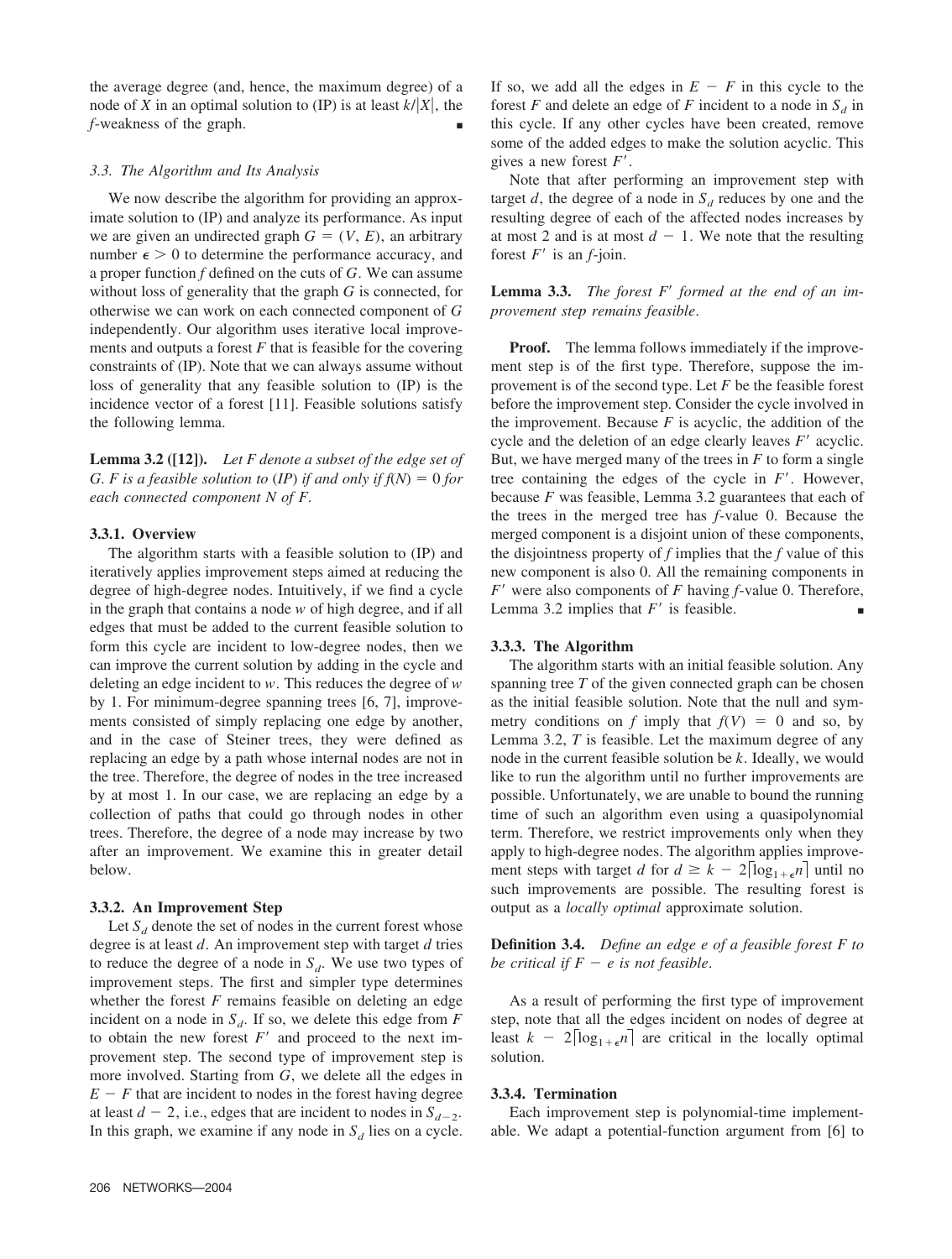the average degree (and, hence, the maximum degree) of a node of *X* in an optimal solution to (IP) is at least  $k/|X|$ , the *f*-weakness of the graph.

## *3.3. The Algorithm and Its Analysis*

We now describe the algorithm for providing an approximate solution to (IP) and analyze its performance. As input we are given an undirected graph  $G = (V, E)$ , an arbitrary number  $\epsilon > 0$  to determine the performance accuracy, and a proper function *f* defined on the cuts of *G*. We can assume without loss of generality that the graph *G* is connected, for otherwise we can work on each connected component of *G* independently. Our algorithm uses iterative local improvements and outputs a forest  $F$  that is feasible for the covering constraints of (IP). Note that we can always assume without loss of generality that any feasible solution to (IP) is the incidence vector of a forest [11]. Feasible solutions satisfy the following lemma.

**Lemma 3.2 ([12]).** *Let F denote a subset of the edge set of G. F is a feasible solution to (IP) if and only if*  $f(N) = 0$  *for each connected component N of F*.

## **3.3.1. Overview**

The algorithm starts with a feasible solution to (IP) and iteratively applies improvement steps aimed at reducing the degree of high-degree nodes. Intuitively, if we find a cycle in the graph that contains a node *w* of high degree, and if all edges that must be added to the current feasible solution to form this cycle are incident to low-degree nodes, then we can improve the current solution by adding in the cycle and deleting an edge incident to *w*. This reduces the degree of *w* by 1. For minimum-degree spanning trees [6, 7], improvements consisted of simply replacing one edge by another, and in the case of Steiner trees, they were defined as replacing an edge by a path whose internal nodes are not in the tree. Therefore, the degree of nodes in the tree increased by at most 1. In our case, we are replacing an edge by a collection of paths that could go through nodes in other trees. Therefore, the degree of a node may increase by two after an improvement. We examine this in greater detail below.

## **3.3.2. An Improvement Step**

Let  $S_d$  denote the set of nodes in the current forest whose degree is at least *d*. An improvement step with target *d* tries to reduce the degree of a node in  $S_d$ . We use two types of improvement steps. The first and simpler type determines whether the forest  $F$  remains feasible on deleting an edge incident on a node in  $S_d$ . If so, we delete this edge from  $F$ to obtain the new forest  $F'$  and proceed to the next improvement step. The second type of improvement step is more involved. Starting from *G*, we delete all the edges in  $E - F$  that are incident to nodes in the forest having degree at least  $d - 2$ , i.e., edges that are incident to nodes in  $S_{d-2}$ . In this graph, we examine if any node in  $S_d$  lies on a cycle.

If so, we add all the edges in  $E - F$  in this cycle to the forest *F* and delete an edge of *F* incident to a node in  $S_d$  in this cycle. If any other cycles have been created, remove some of the added edges to make the solution acyclic. This gives a new forest *F* .

Note that after performing an improvement step with target  $d$ , the degree of a node in  $S_d$  reduces by one and the resulting degree of each of the affected nodes increases by at most 2 and is at most  $d - 1$ . We note that the resulting forest  $F'$  is an  $f$ -join.

**Lemma 3.3.** *The forest F formed at the end of an improvement step remains feasible*.

**Proof.** The lemma follows immediately if the improvement step is of the first type. Therefore, suppose the improvement is of the second type. Let *F* be the feasible forest before the improvement step. Consider the cycle involved in the improvement. Because  $F$  is acyclic, the addition of the cycle and the deletion of an edge clearly leaves  $F'$  acyclic. But, we have merged many of the trees in  $F$  to form a single tree containing the edges of the cycle in *F* . However, because *F* was feasible, Lemma 3.2 guarantees that each of the trees in the merged tree has *f*-value 0. Because the merged component is a disjoint union of these components, the disjointness property of *f* implies that the *f* value of this new component is also 0. All the remaining components in *F* were also components of *F* having *f*-value 0. Therefore, Lemma 3.2 implies that  $F'$  is feasible.  $\blacksquare$ 

## **3.3.3. The Algorithm**

The algorithm starts with an initial feasible solution. Any spanning tree *T* of the given connected graph can be chosen as the initial feasible solution. Note that the null and symmetry conditions on *f* imply that  $f(V) = 0$  and so, by Lemma 3.2, *T* is feasible. Let the maximum degree of any node in the current feasible solution be *k*. Ideally, we would like to run the algorithm until no further improvements are possible. Unfortunately, we are unable to bound the running time of such an algorithm even using a quasipolynomial term. Therefore, we restrict improvements only when they apply to high-degree nodes. The algorithm applies improvement steps with target *d* for  $d \geq k - 2\lceil \log_{1+\epsilon} n \rceil$  until no such improvements are possible. The resulting forest is output as a *locally optimal* approximate solution.

**Definition 3.4.** *Define an edge e of a feasible forest F to be critical if*  $F - e$  *is not feasible.* 

As a result of performing the first type of improvement step, note that all the edges incident on nodes of degree at least  $k - 2\lceil \log_{1+\epsilon} n \rceil$  are critical in the locally optimal solution.

#### **3.3.4. Termination**

Each improvement step is polynomial-time implementable. We adapt a potential-function argument from [6] to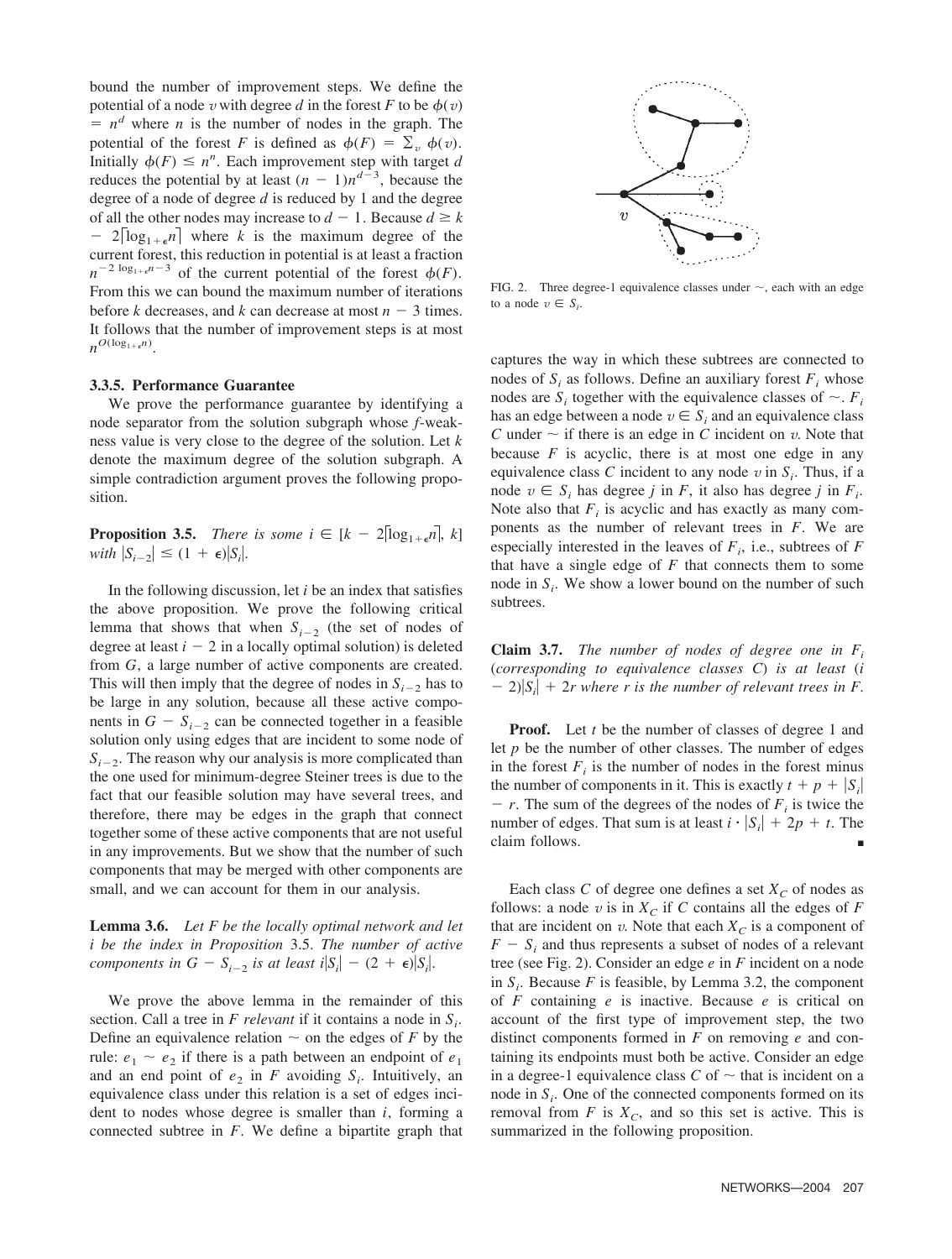bound the number of improvement steps. We define the potential of a node *v* with degree *d* in the forest *F* to be  $\phi(v)$  $= n<sup>d</sup>$  where *n* is the number of nodes in the graph. The potential of the forest *F* is defined as  $\phi(F) = \sum_{v} \phi(v)$ . Initially  $\phi(F) \leq n^n$ . Each improvement step with target *d* reduces the potential by at least  $(n - 1)n^{d-3}$ , because the degree of a node of degree *d* is reduced by 1 and the degree of all the other nodes may increase to  $d - 1$ . Because  $d \ge k$  $-2\log_{1+\epsilon} n$  where *k* is the maximum degree of the current forest, this reduction in potential is at least a fraction  $n^{-2 \log_{1+\epsilon} n - 3}$  of the current potential of the forest  $\phi(F)$ . From this we can bound the maximum number of iterations before *k* decreases, and *k* can decrease at most  $n - 3$  times. It follows that the number of improvement steps is at most  $n^{O(\log_{1+\epsilon} n)}$ .

## **3.3.5. Performance Guarantee**

We prove the performance guarantee by identifying a node separator from the solution subgraph whose *f*-weakness value is very close to the degree of the solution. Let *k* denote the maximum degree of the solution subgraph. A simple contradiction argument proves the following proposition.

**Proposition 3.5.** *There is some i*  $\in$   $[k - 2$ [log<sub>1+ $\epsilon$ </sub>n], *k*]  $with \left|S_{i-2}\right| \leq (1 + \epsilon)|S_i|.$ 

In the following discussion, let *i* be an index that satisfies the above proposition. We prove the following critical lemma that shows that when  $S_{i-2}$  (the set of nodes of degree at least  $i - 2$  in a locally optimal solution) is deleted from *G*, a large number of active components are created. This will then imply that the degree of nodes in  $S_{i-2}$  has to be large in any solution, because all these active components in  $G - S_{i-2}$  can be connected together in a feasible solution only using edges that are incident to some node of  $S_{i-2}$ . The reason why our analysis is more complicated than the one used for minimum-degree Steiner trees is due to the fact that our feasible solution may have several trees, and therefore, there may be edges in the graph that connect together some of these active components that are not useful in any improvements. But we show that the number of such components that may be merged with other components are small, and we can account for them in our analysis.

**Lemma 3.6.** *Let F be the locally optimal network and let i be the index in Proposition* 3.5. *The number of active components in*  $G - S_{i-2}$  *is at least i* $|S_i| - (2 + \epsilon)|S_i|$ .

We prove the above lemma in the remainder of this section. Call a tree in *F relevant* if it contains a node in  $S_i$ . Define an equivalence relation  $\sim$  on the edges of *F* by the rule:  $e_1 \sim e_2$  if there is a path between an endpoint of  $e_1$ and an end point of  $e_2$  in *F* avoiding  $S_i$ . Intuitively, an equivalence class under this relation is a set of edges incident to nodes whose degree is smaller than *i*, forming a connected subtree in *F*. We define a bipartite graph that



FIG. 2. Three degree-1 equivalence classes under  $\sim$ , each with an edge to a node  $v \in S_i$ .

captures the way in which these subtrees are connected to nodes of  $S_i$  as follows. Define an auxiliary forest  $F_i$  whose nodes are  $S_i$  together with the equivalence classes of  $\sim$ .  $F_i$ has an edge between a node  $v \in S_i$  and an equivalence class *C* under  $\sim$  if there is an edge in *C* incident on *v*. Note that because  $F$  is acyclic, there is at most one edge in any equivalence class *C* incident to any node  $v$  in  $S_i$ . Thus, if a node  $v \in S_i$  has degree *j* in *F*, it also has degree *j* in  $F_i$ . Note also that  $F_i$  is acyclic and has exactly as many components as the number of relevant trees in *F*. We are especially interested in the leaves of  $F_i$ , i.e., subtrees of  $F_i$ that have a single edge of *F* that connects them to some node in  $S_i$ . We show a lower bound on the number of such subtrees.

**Claim 3.7.** *The number of nodes of degree one in Fi* (*corresponding to equivalence classes C*) *is at least* (*i*  $-2$ ) $|S_i|$  + 2*r* where *r* is the number of relevant trees in *F*.

**Proof.** Let *t* be the number of classes of degree 1 and let *p* be the number of other classes. The number of edges in the forest  $F_i$  is the number of nodes in the forest minus the number of components in it. This is exactly  $t + p + |S_i|$  $r - r$ . The sum of the degrees of the nodes of  $F_i$  is twice the number of edges. That sum is at least  $i \cdot |S_i| + 2p + t$ . The claim follows.

Each class  $C$  of degree one defines a set  $X_C$  of nodes as follows: a node  $v$  is in  $X_C$  if C contains all the edges of F that are incident on  $v$ . Note that each  $X_C$  is a component of  $F - S_i$  and thus represents a subset of nodes of a relevant tree (see Fig. 2). Consider an edge *e* in *F* incident on a node in  $S_i$ . Because *F* is feasible, by Lemma 3.2, the component of *F* containing *e* is inactive. Because *e* is critical on account of the first type of improvement step, the two distinct components formed in *F* on removing *e* and containing its endpoints must both be active. Consider an edge in a degree-1 equivalence class  $C$  of  $\sim$  that is incident on a node in  $S_i$ . One of the connected components formed on its removal from  $F$  is  $X_C$ , and so this set is active. This is summarized in the following proposition.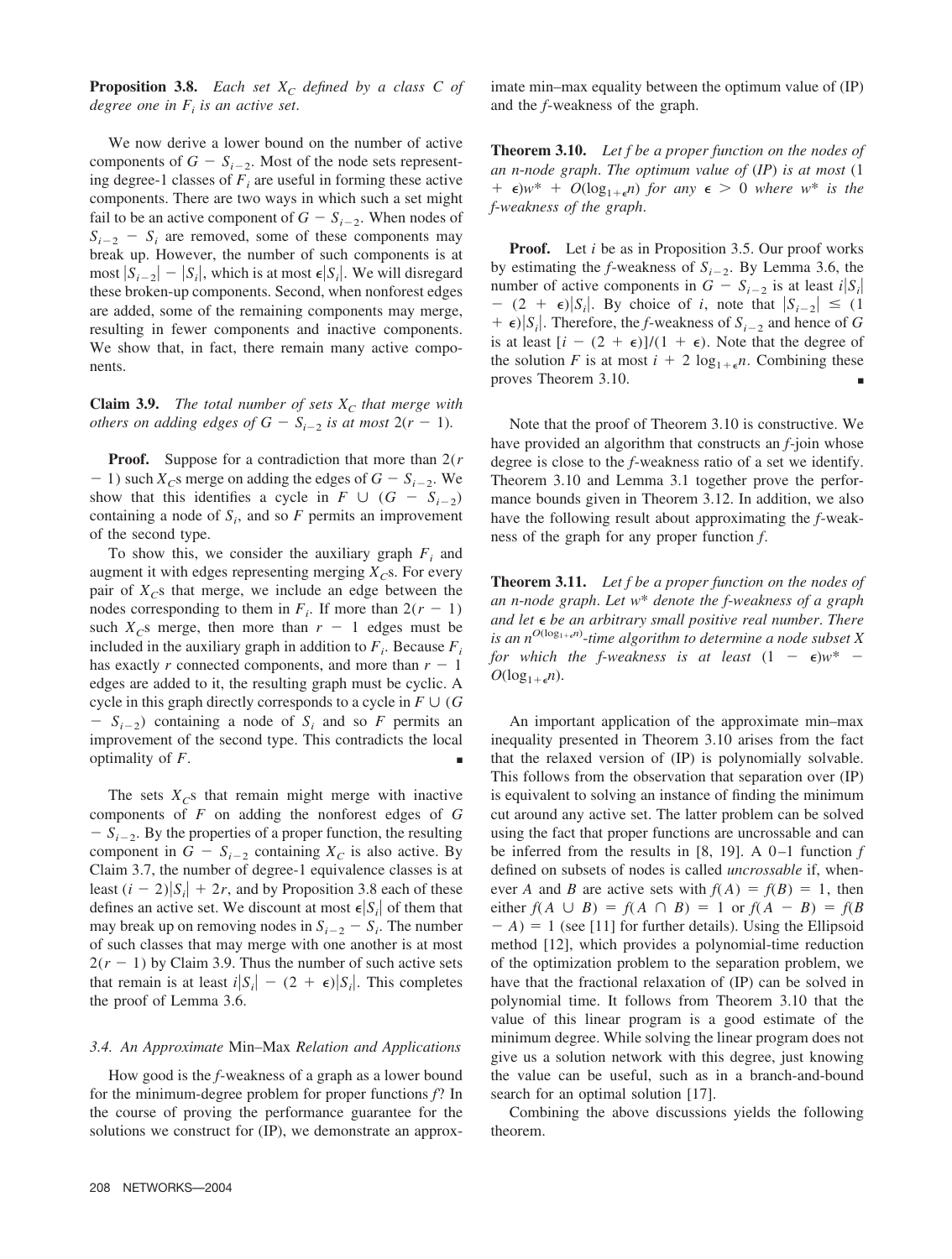**Proposition 3.8.** *Each set*  $X_c$  *defined by a class C of degree one in*  $F_i$  *is an active set.* 

We now derive a lower bound on the number of active components of  $G - S_{i-2}$ . Most of the node sets representing degree-1 classes of  $F_i$  are useful in forming these active components. There are two ways in which such a set might fail to be an active component of  $G - S_{i-2}$ . When nodes of  $S_{i-2}$  –  $S_i$  are removed, some of these components may break up. However, the number of such components is at most  $|S_{i-2}| - |S_i|$ , which is at most  $\epsilon |S_i|$ . We will disregard these broken-up components. Second, when nonforest edges are added, some of the remaining components may merge, resulting in fewer components and inactive components. We show that, in fact, there remain many active components.

**Claim 3.9.** *The total number of sets*  $X_c$  *that merge with others on adding edges of*  $G - S_{i-2}$  *is at most*  $2(r - 1)$ .

**Proof.** Suppose for a contradiction that more than 2(*r*  $-1$ ) such  $X_c$ s merge on adding the edges of  $G - S_{i-2}$ . We show that this identifies a cycle in  $F \cup (G - S_{i-2})$ containing a node of  $S_i$ , and so  $F$  permits an improvement of the second type.

To show this, we consider the auxiliary graph  $F_i$  and augment it with edges representing merging  $X<sub>C</sub>$ s. For every pair of  $X_{\mathcal{C}}$ s that merge, we include an edge between the nodes corresponding to them in  $F_i$ . If more than  $2(r - 1)$ such  $X_c$ s merge, then more than  $r - 1$  edges must be included in the auxiliary graph in addition to  $F_i$ . Because  $F_i$ has exactly *r* connected components, and more than  $r - 1$ edges are added to it, the resulting graph must be cyclic. A cycle in this graph directly corresponds to a cycle in  $F \cup (G)$  $S_{i-2}$ ) containing a node of  $S_i$  and so *F* permits an improvement of the second type. This contradicts the local optimality of  $F$ .

The sets  $X_{\mathcal{C}}$ s that remain might merge with inactive components of *F* on adding the nonforest edges of *G*  $S_{i-2}$ . By the properties of a proper function, the resulting component in  $G - S_{i-2}$  containing  $X_C$  is also active. By Claim 3.7, the number of degree-1 equivalence classes is at least  $(i - 2)|S_i| + 2r$ , and by Proposition 3.8 each of these defines an active set. We discount at most  $\epsilon |S_i|$  of them that may break up on removing nodes in  $S_{i-2} - S_i$ . The number of such classes that may merge with one another is at most  $2(r - 1)$  by Claim 3.9. Thus the number of such active sets that remain is at least  $i|S_i| - (2 + \epsilon)|S_i|$ . This completes the proof of Lemma 3.6.

#### *3.4. An Approximate* Min–Max *Relation and Applications*

How good is the *f*-weakness of a graph as a lower bound for the minimum-degree problem for proper functions *f*? In the course of proving the performance guarantee for the solutions we construct for (IP), we demonstrate an approximate min–max equality between the optimum value of (IP) and the *f*-weakness of the graph.

**Theorem 3.10.** *Let f be a proper function on the nodes of an n*-*node graph*. *The optimum value of* (*IP*) *is at most* (1  $+ \epsilon$ )*w*\*  $+ O(\log_{1+\epsilon} n)$  *for any*  $\epsilon > 0$  *where w*\* *is the f*-*weakness of the graph*.

**Proof.** Let *i* be as in Proposition 3.5. Our proof works by estimating the *f*-weakness of  $S_{i-2}$ . By Lemma 3.6, the number of active components in  $G - S_{i-2}$  is at least  $i|S_i|$  $-$  (2 +  $\epsilon$ )|S<sub>i</sub>|. By choice of *i*, note that  $|S_{i-2}| \leq (1$  $+ \epsilon$ )|*S<sub>i</sub>*|. Therefore, the *f*-weakness of *S*<sub>*i*-2</sub> and hence of *G* is at least  $[i - (2 + \epsilon)]/(1 + \epsilon)$ . Note that the degree of the solution *F* is at most  $i + 2 \log_{1+\epsilon} n$ . Combining these proves Theorem 3.10.

Note that the proof of Theorem 3.10 is constructive. We have provided an algorithm that constructs an *f*-join whose degree is close to the *f*-weakness ratio of a set we identify. Theorem 3.10 and Lemma 3.1 together prove the performance bounds given in Theorem 3.12. In addition, we also have the following result about approximating the *f*-weakness of the graph for any proper function *f*.

**Theorem 3.11.** *Let f be a proper function on the nodes of an n*-*node graph*. *Let w*\* *denote the f*-*weakness of a graph and let be an arbitrary small positive real number*. *There is an nO*(log1*n*) -*time algorithm to determine a node subset X for which the f-weakness is at least*  $(1 - \epsilon)w^*$  –  $O(\log_{1+\epsilon} n)$ .

An important application of the approximate min–max inequality presented in Theorem 3.10 arises from the fact that the relaxed version of (IP) is polynomially solvable. This follows from the observation that separation over (IP) is equivalent to solving an instance of finding the minimum cut around any active set. The latter problem can be solved using the fact that proper functions are uncrossable and can be inferred from the results in [8, 19]. A 0-1 function *f* defined on subsets of nodes is called *uncrossable* if, whenever *A* and *B* are active sets with  $f(A) = f(B) = 1$ , then either  $f(A \cup B) = f(A \cap B) = 1$  or  $f(A - B) = f(B)$  $(A) = 1$  (see [11] for further details). Using the Ellipsoid method [12], which provides a polynomial-time reduction of the optimization problem to the separation problem, we have that the fractional relaxation of (IP) can be solved in polynomial time. It follows from Theorem 3.10 that the value of this linear program is a good estimate of the minimum degree. While solving the linear program does not give us a solution network with this degree, just knowing the value can be useful, such as in a branch-and-bound search for an optimal solution [17].

Combining the above discussions yields the following theorem.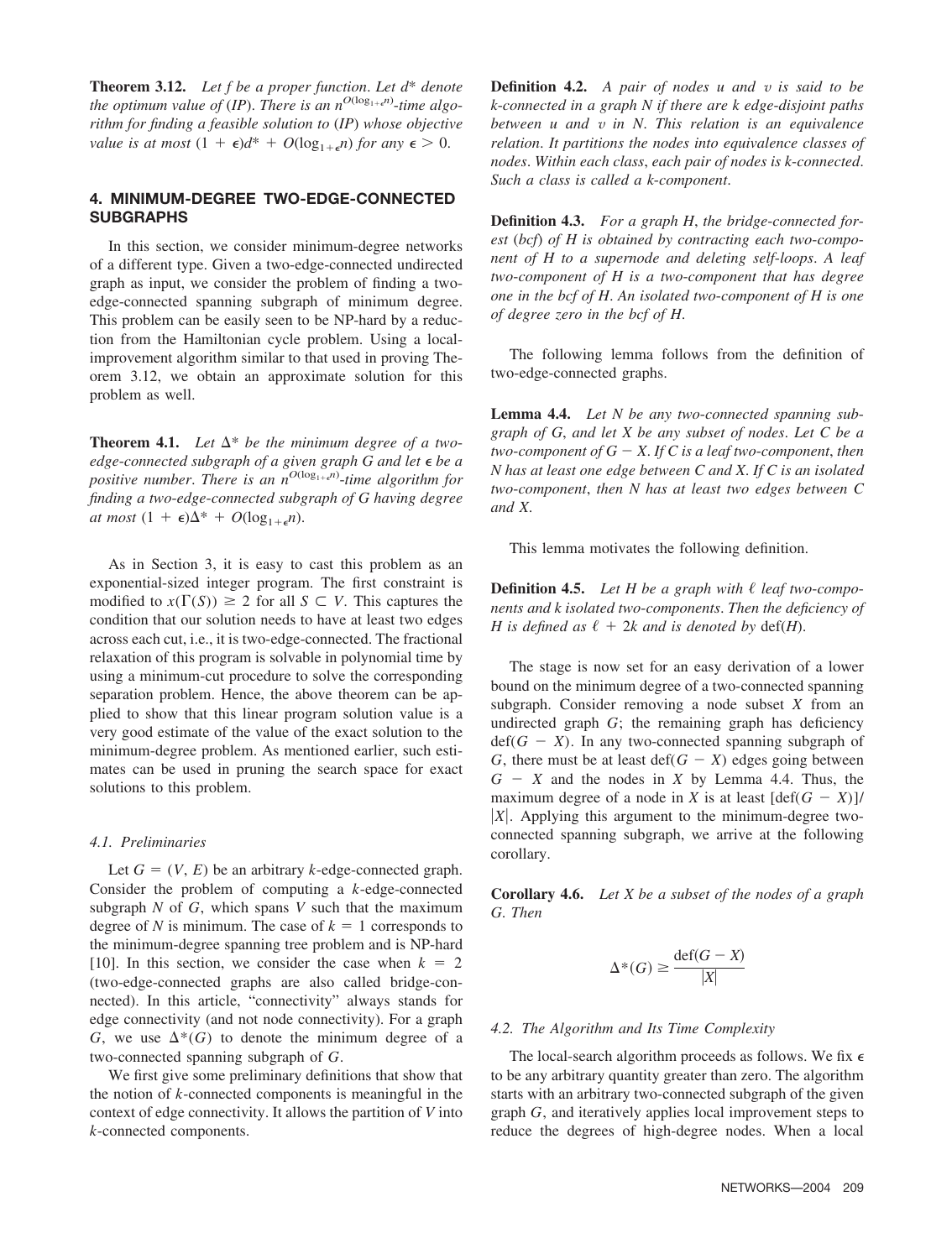**Theorem 3.12.** *Let f be a proper function*. *Let d*\* *denote the optimum value of (IP). There is an*  $n^{O(\log_{1+\epsilon} n)}$ *-time algorithm for finding a feasible solution to* (*IP*) *whose objective value is at most*  $(1 + \epsilon)d^* + O(\log_{1+\epsilon} n)$  *for any*  $\epsilon > 0$ .

# **4. MINIMUM-DEGREE TWO-EDGE-CONNECTED SUBGRAPHS**

In this section, we consider minimum-degree networks of a different type. Given a two-edge-connected undirected graph as input, we consider the problem of finding a twoedge-connected spanning subgraph of minimum degree. This problem can be easily seen to be NP-hard by a reduction from the Hamiltonian cycle problem. Using a localimprovement algorithm similar to that used in proving Theorem 3.12, we obtain an approximate solution for this problem as well.

**Theorem 4.1.** Let  $\Delta^*$  be the minimum degree of a two*edge*-*connected subgraph of a given graph G and let be a positive number. There is an n*<sup>O(log<sub>1+e</sub>n)-*time algorithm for*</sup> *finding a two*-*edge*-*connected subgraph of G having degree at most*  $(1 + \epsilon)\Delta^* + O(\log_{1+\epsilon} n)$ .

As in Section 3, it is easy to cast this problem as an exponential-sized integer program. The first constraint is modified to  $x(\Gamma(S)) \geq 2$  for all  $S \subset V$ . This captures the condition that our solution needs to have at least two edges across each cut, i.e., it is two-edge-connected. The fractional relaxation of this program is solvable in polynomial time by using a minimum-cut procedure to solve the corresponding separation problem. Hence, the above theorem can be applied to show that this linear program solution value is a very good estimate of the value of the exact solution to the minimum-degree problem. As mentioned earlier, such estimates can be used in pruning the search space for exact solutions to this problem.

#### *4.1. Preliminaries*

Let  $G = (V, E)$  be an arbitrary *k*-edge-connected graph. Consider the problem of computing a *k*-edge-connected subgraph *N* of *G*, which spans *V* such that the maximum degree of *N* is minimum. The case of  $k = 1$  corresponds to the minimum-degree spanning tree problem and is NP-hard [10]. In this section, we consider the case when  $k = 2$ (two-edge-connected graphs are also called bridge-connected). In this article, "connectivity" always stands for edge connectivity (and not node connectivity). For a graph  $G$ , we use  $\Delta^*(G)$  to denote the minimum degree of a two-connected spanning subgraph of *G*.

We first give some preliminary definitions that show that the notion of *k*-connected components is meaningful in the context of edge connectivity. It allows the partition of *V* into *k*-connected components.

**Definition 4.2.** *A pair of nodes u and v is said to be k*-*connected in a graph N if there are k edge*-*disjoint paths between u and v in N*. *This relation is an equivalence relation*. *It partitions the nodes into equivalence classes of nodes*. *Within each class*, *each pair of nodes is k*-*connected*. *Such a class is called a k*-*component*.

**Definition 4.3.** *For a graph H*, *the bridge*-*connected forest* (*bcf*) *of H is obtained by contracting each two*-*component of H to a supernode and deleting self*-*loops*. *A leaf two*-*component of H is a two*-*component that has degree one in the bcf of H*. *An isolated two*-*component of H is one of degree zero in the bcf of H*.

The following lemma follows from the definition of two-edge-connected graphs.

**Lemma 4.4.** *Let N be any two*-*connected spanning subgraph of G*, *and let X be any subset of nodes*. *Let C be a two-component of*  $G - X$ *. If C is a leaf two-component, then N has at least one edge between C and X*. *If C is an isolated two*-*component*, *then N has at least two edges between C and X*.

This lemma motivates the following definition.

**Definition 4.5.** *Let H be a graph with leaf two*-*components and k isolated two*-*components*. *Then the deficiency of H* is defined as  $\ell + 2k$  and is denoted by def(*H*).

The stage is now set for an easy derivation of a lower bound on the minimum degree of a two-connected spanning subgraph. Consider removing a node subset *X* from an undirected graph *G*; the remaining graph has deficiency  $\text{def}(G - X)$ . In any two-connected spanning subgraph of *G*, there must be at least def( $G - X$ ) edges going between  $G - X$  and the nodes in *X* by Lemma 4.4. Thus, the maximum degree of a node in *X* is at least  $[\text{def}(G - X)]$ / *X*. Applying this argument to the minimum-degree twoconnected spanning subgraph, we arrive at the following corollary.

**Corollary 4.6.** *Let X be a subset of the nodes of a graph G*. *Then*

$$
\Delta^*(G) \ge \frac{\text{def}(G - X)}{|X|}
$$

## *4.2. The Algorithm and Its Time Complexity*

The local-search algorithm proceeds as follows. We fix  $\epsilon$ to be any arbitrary quantity greater than zero. The algorithm starts with an arbitrary two-connected subgraph of the given graph *G*, and iteratively applies local improvement steps to reduce the degrees of high-degree nodes. When a local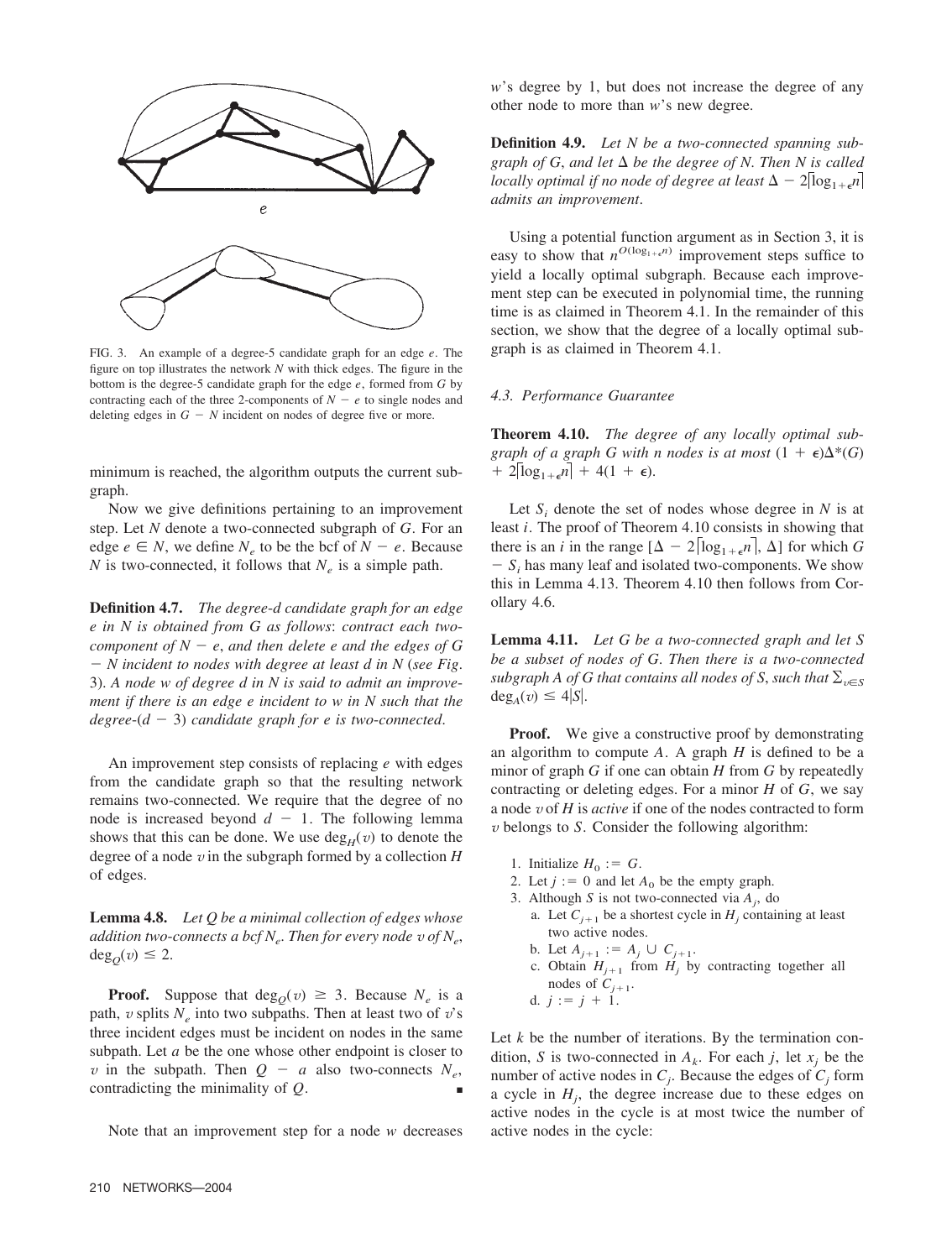

FIG. 3. An example of a degree-5 candidate graph for an edge *e*. The figure on top illustrates the network *N* with thick edges. The figure in the bottom is the degree-5 candidate graph for the edge *e*, formed from *G* by contracting each of the three 2-components of  $N - e$  to single nodes and deleting edges in  $G - N$  incident on nodes of degree five or more.

minimum is reached, the algorithm outputs the current subgraph.

Now we give definitions pertaining to an improvement step. Let *N* denote a two-connected subgraph of *G*. For an edge  $e \in N$ , we define  $N_e$  to be the bcf of  $N - e$ . Because *N* is two-connected, it follows that  $N_e$  is a simple path.

**Definition 4.7.** *The degree*-*d candidate graph for an edge e in N is obtained from G as follows*: *contract each twocomponent of*  $N - e$ , *and then delete e and the edges of* G *N incident to nodes with degree at least d in N* (*see Fig*. 3). *A node w of degree d in N is said to admit an improvement if there is an edge e incident to w in N such that the*  $degree-(d - 3)$  *candidate graph for e is two-connected.* 

An improvement step consists of replacing *e* with edges from the candidate graph so that the resulting network remains two-connected. We require that the degree of no node is increased beyond  $d - 1$ . The following lemma shows that this can be done. We use  $\deg_H(v)$  to denote the degree of a node *v* in the subgraph formed by a collection *H* of edges.

**Lemma 4.8.** *Let Q be a minimal collection of edges whose addition two-connects a bcf*  $N_e$ *. Then for every node v of*  $N_e$ ,  $deg<sub>O</sub>(v) \leq 2$ .

**Proof.** Suppose that  $\deg_0(v) \geq 3$ . Because  $N_e$  is a path,  $v$  splits  $N_e$  into two subpaths. Then at least two of  $v$ 's three incident edges must be incident on nodes in the same subpath. Let *a* be the one whose other endpoint is closer to *v* in the subpath. Then  $Q - a$  also two-connects  $N_e$ , contradicting the minimality of  $Q$ .

Note that an improvement step for a node *w* decreases

*w*'s degree by 1, but does not increase the degree of any other node to more than *w*'s new degree.

**Definition 4.9.** *Let N be a two*-*connected spanning subgraph of G, and let*  $\Delta$  *be the degree of N. Then N is called locally optimal if no node of degree at least*  $\Delta - 2\log_{1+\epsilon} n$ *admits an improvement*.

Using a potential function argument as in Section 3, it is easy to show that  $n^{O(\log_{1+\epsilon} n)}$  improvement steps suffice to yield a locally optimal subgraph. Because each improvement step can be executed in polynomial time, the running time is as claimed in Theorem 4.1. In the remainder of this section, we show that the degree of a locally optimal subgraph is as claimed in Theorem 4.1.

## *4.3. Performance Guarantee*

**Theorem 4.10.** *The degree of any locally optimal subgraph of a graph G with n nodes is at most*  $(1 + \epsilon)\Delta^*(G)$  $+ 2[log_{1+\epsilon} n] + 4(1+\epsilon).$ 

Let  $S_i$  denote the set of nodes whose degree in  $N$  is at least *i*. The proof of Theorem 4.10 consists in showing that there is an *i* in the range  $[\Delta - 2 \lceil \log_{1+\epsilon} n \rceil]$ ,  $\Delta$ ] for which *G*  $S_i$  has many leaf and isolated two-components. We show this in Lemma 4.13. Theorem 4.10 then follows from Corollary 4.6.

**Lemma 4.11.** *Let G be a two*-*connected graph and let S be a subset of nodes of G*. *Then there is a two*-*connected subgraph A of G that contains all nodes of S, such that*  $\Sigma_{v \in S}$  $deg_A(v) \leq 4|S|$ .

**Proof.** We give a constructive proof by demonstrating an algorithm to compute *A*. A graph *H* is defined to be a minor of graph *G* if one can obtain *H* from *G* by repeatedly contracting or deleting edges. For a minor *H* of *G*, we say a node *v* of *H* is *active* if one of the nodes contracted to form *v* belongs to *S*. Consider the following algorithm:

- 1. Initialize  $H_0 := G$ .
- 2. Let  $j := 0$  and let  $A_0$  be the empty graph.
- 3. Although *S* is not two-connected via  $A_j$ , do
	- a. Let  $C_{i+1}$  be a shortest cycle in  $H_i$  containing at least two active nodes.
	- b. Let  $A_{j+1} := A_j \cup C_{j+1}$ .
	- c. Obtain  $H_{j+1}$  from  $H_j$  by contracting together all nodes of  $C_{i+1}$ .
	- d.  $j := j + 1$ .

Let *k* be the number of iterations. By the termination condition, *S* is two-connected in  $A_k$ . For each *j*, let  $x_j$  be the number of active nodes in  $C_j$ . Because the edges of  $C_j$  form a cycle in  $H_j$ , the degree increase due to these edges on active nodes in the cycle is at most twice the number of active nodes in the cycle: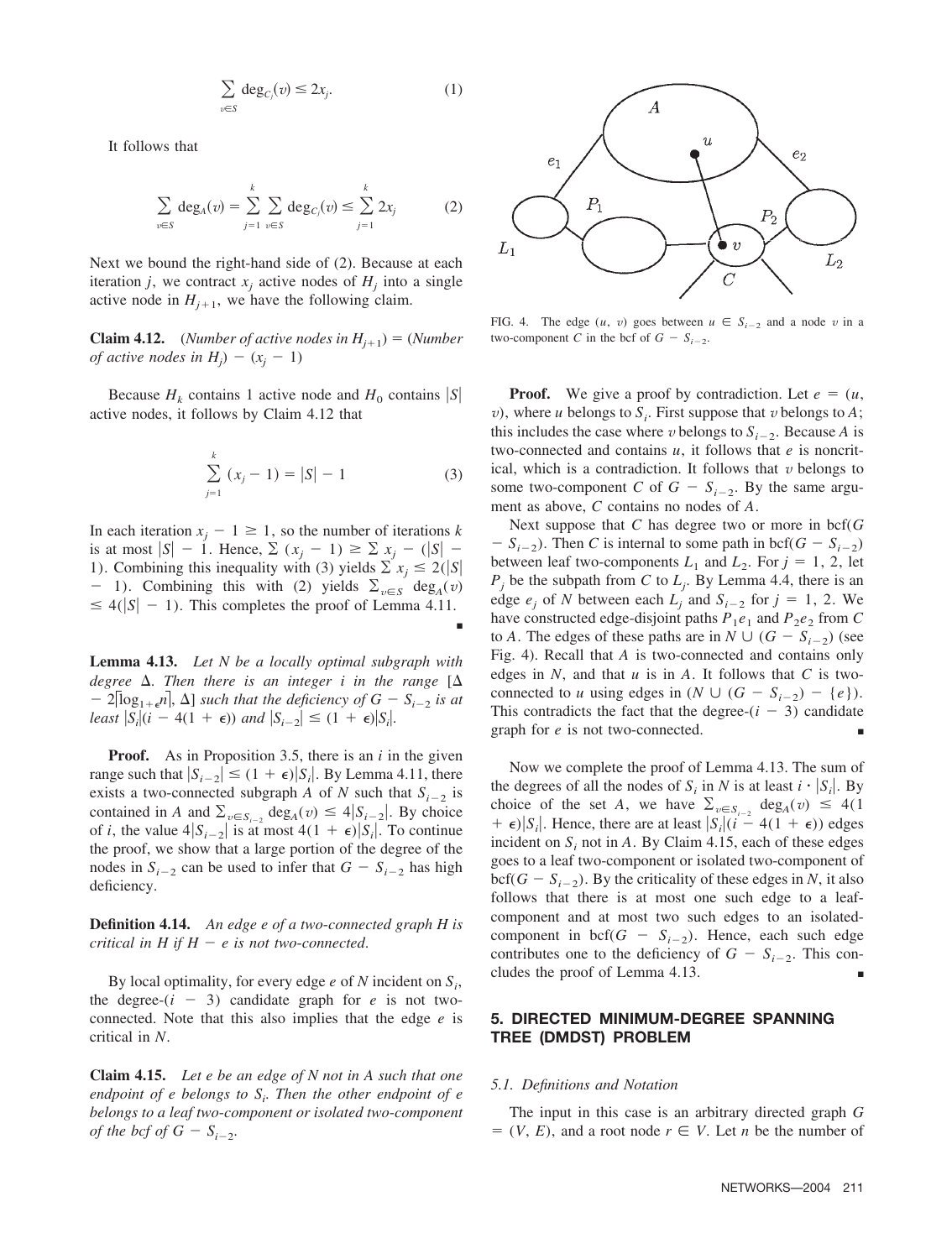$$
\sum_{v \in S} \deg_{C_j}(v) \le 2x_j. \tag{1}
$$

It follows that

$$
\sum_{v \in S} \deg_A(v) = \sum_{j=1}^k \sum_{v \in S} \deg_{C_j}(v) \le \sum_{j=1}^k 2x_j
$$
 (2)

Next we bound the right-hand side of (2). Because at each iteration *j*, we contract  $x_i$  active nodes of  $H_i$  into a single active node in  $H_{i+1}$ , we have the following claim.

**Claim 4.12.** (*Number of active nodes in*  $H_{i+1}$ ) = (*Number of active nodes in*  $H_j$ ) – ( $x_j$  – 1)

Because  $H_k$  contains 1 active node and  $H_0$  contains  $|S|$ active nodes, it follows by Claim 4.12 that

$$
\sum_{j=1}^{k} (x_j - 1) = |S| - 1
$$
 (3)

■

In each iteration  $x_i - 1 \ge 1$ , so the number of iterations *k* is at most  $|S| - 1$ . Hence,  $\sum_{i} (x_i - 1) \ge \sum_{i} x_i - (|S| - 1)$ 1). Combining this inequality with (3) yields  $\sum x_j \le 2(|S|)$ - 1). Combining this with (2) yields  $\Sigma_{v \in S}$  deg<sub>A</sub>(*v*)  $\leq 4(|S| - 1)$ . This completes the proof of Lemma 4.11.

**Lemma 4.13.** *Let N be a locally optimal subgraph with* degree  $\Delta$ . Then there is an integer *i* in the range  $[\Delta]$  $-2\log_{1+\epsilon} n$ ,  $\Delta$  *such that the deficiency of G*  $- S_{i-2}$  *is at least*  $|S_i|(i - 4(1 + \epsilon))$  *and*  $|S_{i-2}| \leq (1 + \epsilon)|S_i|$ .

**Proof.** As in Proposition 3.5, there is an *i* in the given range such that  $|S_{i-2}| \le (1 + \epsilon)|S_i|$ . By Lemma 4.11, there exists a two-connected subgraph *A* of *N* such that  $S_{i-2}$  is contained in *A* and  $\sum_{v \in S_{i-2}} \deg_A(v) \leq 4|S_{i-2}|$ . By choice of *i*, the value  $4|S_{i-2}|$  is at most  $4(1 + \epsilon)|S_i|$ . To continue the proof, we show that a large portion of the degree of the nodes in  $S_{i-2}$  can be used to infer that  $G - S_{i-2}$  has high deficiency.

**Definition 4.14.** *An edge e of a two*-*connected graph H is critical in H if*  $H - e$  *is not two-connected.* 

By local optimality, for every edge  $e$  of  $N$  incident on  $S_i$ , the degree- $(i - 3)$  candidate graph for *e* is not twoconnected. Note that this also implies that the edge *e* is critical in *N*.

**Claim 4.15.** *Let e be an edge of N not in A such that one endpoint of e belongs to Si* . *Then the other endpoint of e belongs to a leaf two*-*component or isolated two*-*component of the bcf of G* –  $S_{i-2}$ .



FIG. 4. The edge  $(u, v)$  goes between  $u \in S_{i-2}$  and a node v in a two-component *C* in the bcf of  $G - S_{i-2}$ .

**Proof.** We give a proof by contradiction. Let  $e = (u,$ *v*), where *u* belongs to  $S_i$ . First suppose that *v* belongs to *A*; this includes the case where *v* belongs to  $S_{i-2}$ . Because *A* is two-connected and contains *u*, it follows that *e* is noncritical, which is a contradiction. It follows that  $v$  belongs to some two-component *C* of  $G - S_{i-2}$ . By the same argument as above, *C* contains no nodes of *A*.

Next suppose that *C* has degree two or more in bcf(*G*  $S_i - S_{i-2}$ ). Then *C* is internal to some path in bcf( $G - S_{i-2}$ ) between leaf two-components  $L_1$  and  $L_2$ . For  $j = 1, 2$ , let  $P_j$  be the subpath from *C* to  $L_j$ . By Lemma 4.4, there is an edge  $e_i$  of *N* between each  $L_i$  and  $S_{i-2}$  for  $j = 1, 2$ . We have constructed edge-disjoint paths  $P_1e_1$  and  $P_2e_2$  from C to *A*. The edges of these paths are in  $N \cup (G - S_{i-2})$  (see Fig. 4). Recall that *A* is two-connected and contains only edges in *N*, and that *u* is in *A*. It follows that *C* is twoconnected to *u* using edges in  $(N \cup (G - S_{i-2}) - \{e\})$ . This contradicts the fact that the degree- $(i - 3)$  candidate graph for *e* is not two-connected.

Now we complete the proof of Lemma 4.13. The sum of the degrees of all the nodes of  $S_i$  in *N* is at least  $i \cdot |S_i|$ . By choice of the set *A*, we have  $\sum_{v \in S_{i-2}} deg_A(v) \leq 4(1$  $+ \epsilon$ )|S<sub>i</sub>|. Hence, there are at least  $|S_i|(i - 4(1 + \epsilon))$  edges incident on  $S_i$  not in A. By Claim 4.15, each of these edges goes to a leaf two-component or isolated two-component of  $\text{bcf}(G - S_{i-2})$ . By the criticality of these edges in *N*, it also follows that there is at most one such edge to a leafcomponent and at most two such edges to an isolatedcomponent in  $\text{bcf}(G - S_{i-2})$ . Hence, each such edge contributes one to the deficiency of  $G - S_{i-2}$ . This concludes the proof of Lemma 4.13.

# **5. DIRECTED MINIMUM-DEGREE SPANNING TREE (DMDST) PROBLEM**

## *5.1. Definitions and Notation*

The input in this case is an arbitrary directed graph *G*  $V = (V, E)$ , and a root node  $r \in V$ . Let *n* be the number of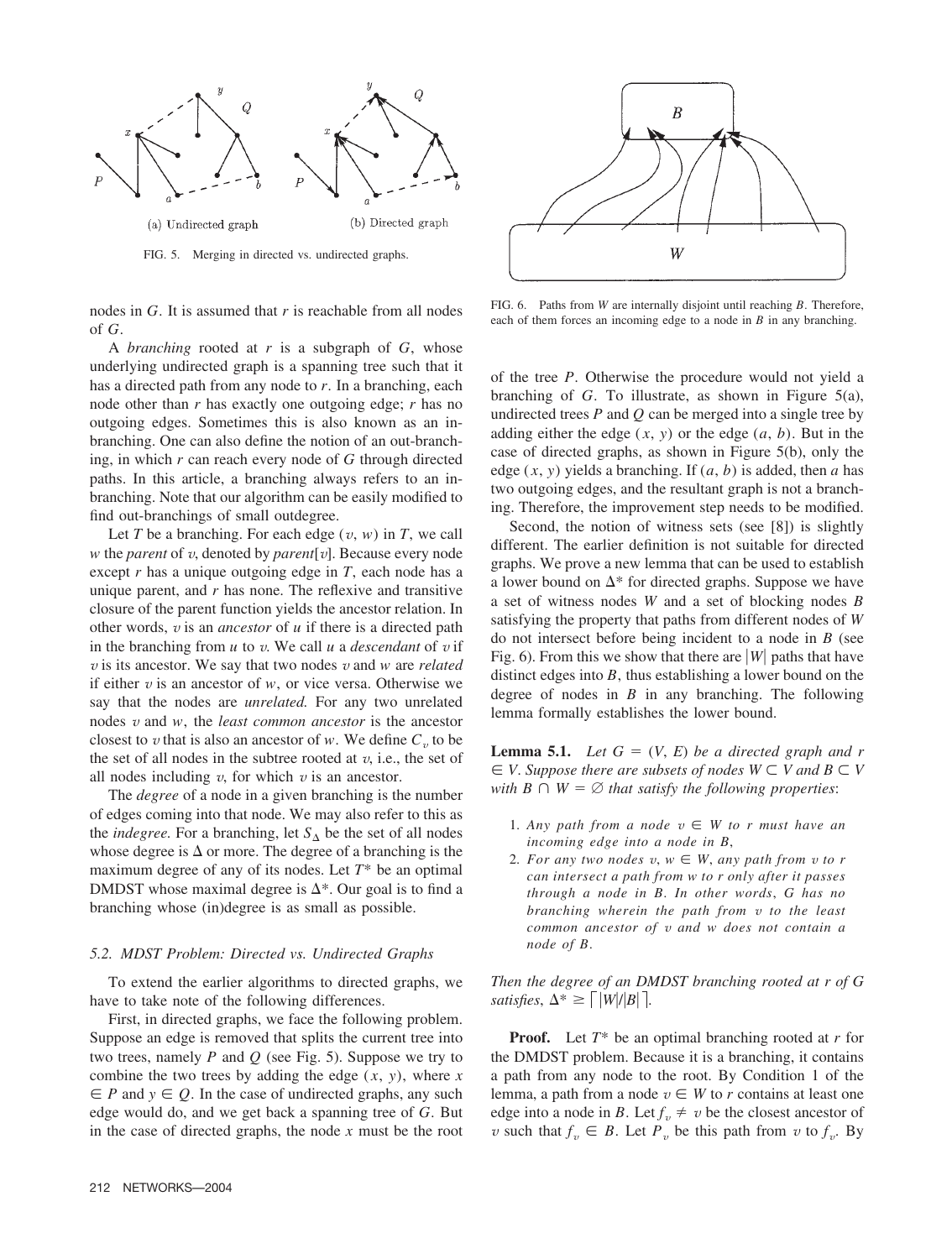

FIG. 5. Merging in directed vs. undirected graphs.

nodes in *G*. It is assumed that *r* is reachable from all nodes of *G*.

A *branching* rooted at *r* is a subgraph of *G*, whose underlying undirected graph is a spanning tree such that it has a directed path from any node to *r*. In a branching, each node other than *r* has exactly one outgoing edge; *r* has no outgoing edges. Sometimes this is also known as an inbranching. One can also define the notion of an out-branching, in which *r* can reach every node of *G* through directed paths. In this article, a branching always refers to an inbranching. Note that our algorithm can be easily modified to find out-branchings of small outdegree.

Let *T* be a branching. For each edge  $(v, w)$  in *T*, we call *w* the *parent* of *v*, denoted by *parent*[*v*]. Because every node except *r* has a unique outgoing edge in *T*, each node has a unique parent, and *r* has none. The reflexive and transitive closure of the parent function yields the ancestor relation. In other words, *v* is an *ancestor* of *u* if there is a directed path in the branching from  $u$  to  $v$ . We call  $u$  a *descendant* of  $v$  if *v* is its ancestor. We say that two nodes *v* and *w* are *related* if either *v* is an ancestor of *w*, or vice versa. Otherwise we say that the nodes are *unrelated.* For any two unrelated nodes *v* and *w*, the *least common ancestor* is the ancestor closest to *v* that is also an ancestor of *w*. We define  $C<sub>v</sub>$  to be the set of all nodes in the subtree rooted at  $v$ , i.e., the set of all nodes including  $v$ , for which  $v$  is an ancestor.

The *degree* of a node in a given branching is the number of edges coming into that node. We may also refer to this as the *indegree*. For a branching, let  $S_\Lambda$  be the set of all nodes whose degree is  $\Delta$  or more. The degree of a branching is the maximum degree of any of its nodes. Let *T*\* be an optimal DMDST whose maximal degree is  $\Delta^*$ . Our goal is to find a branching whose (in)degree is as small as possible.

#### *5.2. MDST Problem: Directed vs. Undirected Graphs*

To extend the earlier algorithms to directed graphs, we have to take note of the following differences.

First, in directed graphs, we face the following problem. Suppose an edge is removed that splits the current tree into two trees, namely *P* and *Q* (see Fig. 5). Suppose we try to combine the two trees by adding the edge  $(x, y)$ , where  $x$  $\in$  *P* and  $y \in Q$ . In the case of undirected graphs, any such edge would do, and we get back a spanning tree of *G*. But in the case of directed graphs, the node *x* must be the root



FIG. 6. Paths from *W* are internally disjoint until reaching *B*. Therefore, each of them forces an incoming edge to a node in *B* in any branching.

of the tree *P*. Otherwise the procedure would not yield a branching of *G*. To illustrate, as shown in Figure 5(a), undirected trees *P* and *Q* can be merged into a single tree by adding either the edge  $(x, y)$  or the edge  $(a, b)$ . But in the case of directed graphs, as shown in Figure 5(b), only the edge  $(x, y)$  yields a branching. If  $(a, b)$  is added, then *a* has two outgoing edges, and the resultant graph is not a branching. Therefore, the improvement step needs to be modified.

Second, the notion of witness sets (see [8]) is slightly different. The earlier definition is not suitable for directed graphs. We prove a new lemma that can be used to establish a lower bound on  $\Delta^*$  for directed graphs. Suppose we have a set of witness nodes *W* and a set of blocking nodes *B* satisfying the property that paths from different nodes of *W* do not intersect before being incident to a node in *B* (see Fig. 6). From this we show that there are  $|W|$  paths that have distinct edges into *B*, thus establishing a lower bound on the degree of nodes in *B* in any branching. The following lemma formally establishes the lower bound.

**Lemma 5.1.** *Let*  $G = (V, E)$  *be a directed graph and r*  $V \subseteq V$ . *Suppose there are subsets of nodes*  $W \subseteq V$  *and*  $B \subseteq V$ *with*  $B \cap W = \emptyset$  *that satisfy the following properties:* 

- 1. Any path from a node  $v \in W$  to r must have an *incoming edge into a node in B*,
- 2. For any two nodes  $v, w \in W$ , any path from  $v$  to r *can intersect a path from w to r only after it passes through a node in B*. *In other words*, *G has no branching wherein the path from v to the least common ancestor of v and w does not contain a node of B*.

*Then the degree of an DMDST branching rooted at r of G satisfies*,  $\Delta^* \geq \left\lceil |W|/|B| \right\rceil$ .

**Proof.** Let *T*\* be an optimal branching rooted at *r* for the DMDST problem. Because it is a branching, it contains a path from any node to the root. By Condition 1 of the lemma, a path from a node  $v \in W$  to r contains at least one edge into a node in *B*. Let  $f_v \neq v$  be the closest ancestor of *v* such that  $f_v \in B$ . Let  $P_v$  be this path from *v* to  $f_v$ . By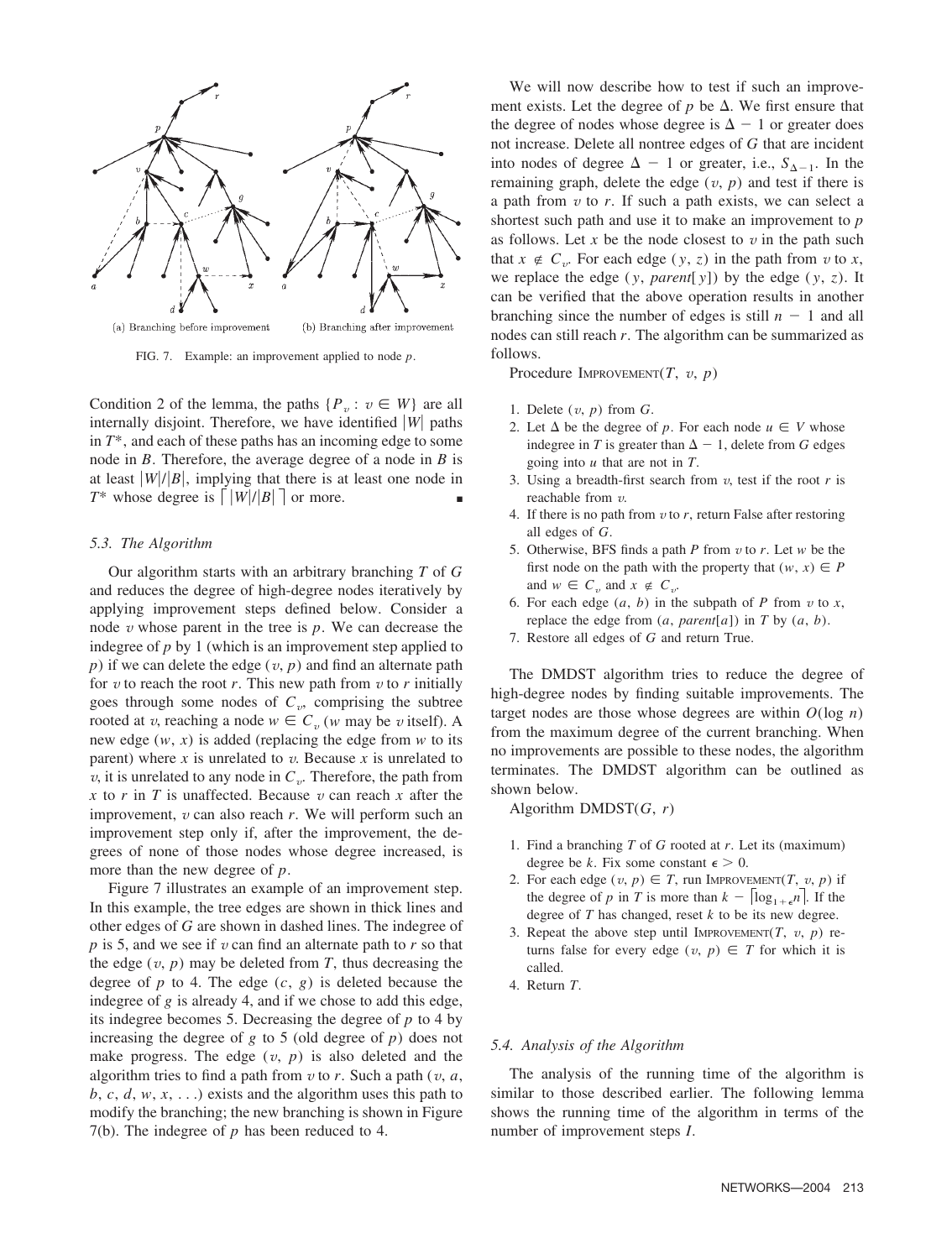

FIG. 7. Example: an improvement applied to node *p*.

Condition 2 of the lemma, the paths  $\{P_v : v \in W\}$  are all internally disjoint. Therefore, we have identified  $|W|$  paths in *T*\*, and each of these paths has an incoming edge to some node in *B*. Therefore, the average degree of a node in *B* is at least  $|W|/|B|$ , implying that there is at least one node in *T*\* whose degree is  $\lceil |W|/|B| \rceil$  or more.

## *5.3. The Algorithm*

Our algorithm starts with an arbitrary branching *T* of *G* and reduces the degree of high-degree nodes iteratively by applying improvement steps defined below. Consider a node *v* whose parent in the tree is *p*. We can decrease the indegree of *p* by 1 (which is an improvement step applied to  $p$ ) if we can delete the edge  $(v, p)$  and find an alternate path for  $v$  to reach the root  $r$ . This new path from  $v$  to  $r$  initially goes through some nodes of  $C_v$ , comprising the subtree rooted at *v*, reaching a node  $w \in C_v$  (*w* may be *v* itself). A new edge (*w*, *x*) is added (replacing the edge from *w* to its parent) where  $x$  is unrelated to  $v$ . Because  $x$  is unrelated to *v*, it is unrelated to any node in  $C_v$ . Therefore, the path from *x* to *r* in *T* is unaffected. Because  $v$  can reach  $x$  after the improvement, *v* can also reach *r*. We will perform such an improvement step only if, after the improvement, the degrees of none of those nodes whose degree increased, is more than the new degree of *p*.

Figure 7 illustrates an example of an improvement step. In this example, the tree edges are shown in thick lines and other edges of *G* are shown in dashed lines. The indegree of *p* is 5, and we see if *v* can find an alternate path to *r* so that the edge  $(v, p)$  may be deleted from  $T$ , thus decreasing the degree of  $p$  to 4. The edge  $(c, g)$  is deleted because the indegree of *g* is already 4, and if we chose to add this edge, its indegree becomes 5. Decreasing the degree of *p* to 4 by increasing the degree of  $g$  to 5 (old degree of  $p$ ) does not make progress. The edge  $(v, p)$  is also deleted and the algorithm tries to find a path from  $v$  to  $r$ . Such a path ( $v$ ,  $a$ ,  $b, c, d, w, x, \ldots$ ) exists and the algorithm uses this path to modify the branching; the new branching is shown in Figure 7(b). The indegree of *p* has been reduced to 4.

We will now describe how to test if such an improvement exists. Let the degree of  $p$  be  $\Delta$ . We first ensure that the degree of nodes whose degree is  $\Delta - 1$  or greater does not increase. Delete all nontree edges of *G* that are incident into nodes of degree  $\Delta - 1$  or greater, i.e.,  $S_{\Delta - 1}$ . In the remaining graph, delete the edge  $(v, p)$  and test if there is a path from  $v$  to  $r$ . If such a path exists, we can select a shortest such path and use it to make an improvement to *p* as follows. Let  $x$  be the node closest to  $v$  in the path such that  $x \notin C_v$ . For each edge  $(y, z)$  in the path from  $v$  to  $x$ , we replace the edge  $(y, parent[y])$  by the edge  $(y, z)$ . It can be verified that the above operation results in another branching since the number of edges is still  $n - 1$  and all nodes can still reach *r*. The algorithm can be summarized as follows.

Procedure IMPROVEMENT(*T*, *v*, *p*)

- 1. Delete (*v*, *p*) from *G*.
- 2. Let  $\Delta$  be the degree of p. For each node  $u \in V$  whose indegree in *T* is greater than  $\Delta - 1$ , delete from *G* edges going into *u* that are not in *T*.
- 3. Using a breadth-first search from *v*, test if the root *r* is reachable from *v*.
- 4. If there is no path from *v* to *r*, return False after restoring all edges of *G*.
- 5. Otherwise, BFS finds a path *P* from *v* to *r*. Let *w* be the first node on the path with the property that  $(w, x) \in P$ and  $w \in C_v$  and  $x \notin C_v$ .
- 6. For each edge  $(a, b)$  in the subpath of *P* from  $v$  to  $x$ , replace the edge from  $(a, parent[a])$  in  $T$  by  $(a, b)$ .
- 7. Restore all edges of *G* and return True.

The DMDST algorithm tries to reduce the degree of high-degree nodes by finding suitable improvements. The target nodes are those whose degrees are within  $O(\log n)$ from the maximum degree of the current branching. When no improvements are possible to these nodes, the algorithm terminates. The DMDST algorithm can be outlined as shown below.

Algorithm DMDST(*G*, *r*)

- 1. Find a branching *T* of *G* rooted at *r*. Let its (maximum) degree be *k*. Fix some constant  $\epsilon > 0$ .
- 2. For each edge  $(v, p) \in T$ , run IMPROVEMENT $(T, v, p)$  if the degree of *p* in *T* is more than  $k - |\log_{1+\epsilon} n|$ . If the degree of *T* has changed, reset *k* to be its new degree.
- 3. Repeat the above step until IMPROVEMENT(*T*, *v*, *p*) returns false for every edge  $(v, p) \in T$  for which it is called.
- 4. Return *T*.

## *5.4. Analysis of the Algorithm*

The analysis of the running time of the algorithm is similar to those described earlier. The following lemma shows the running time of the algorithm in terms of the number of improvement steps *I*.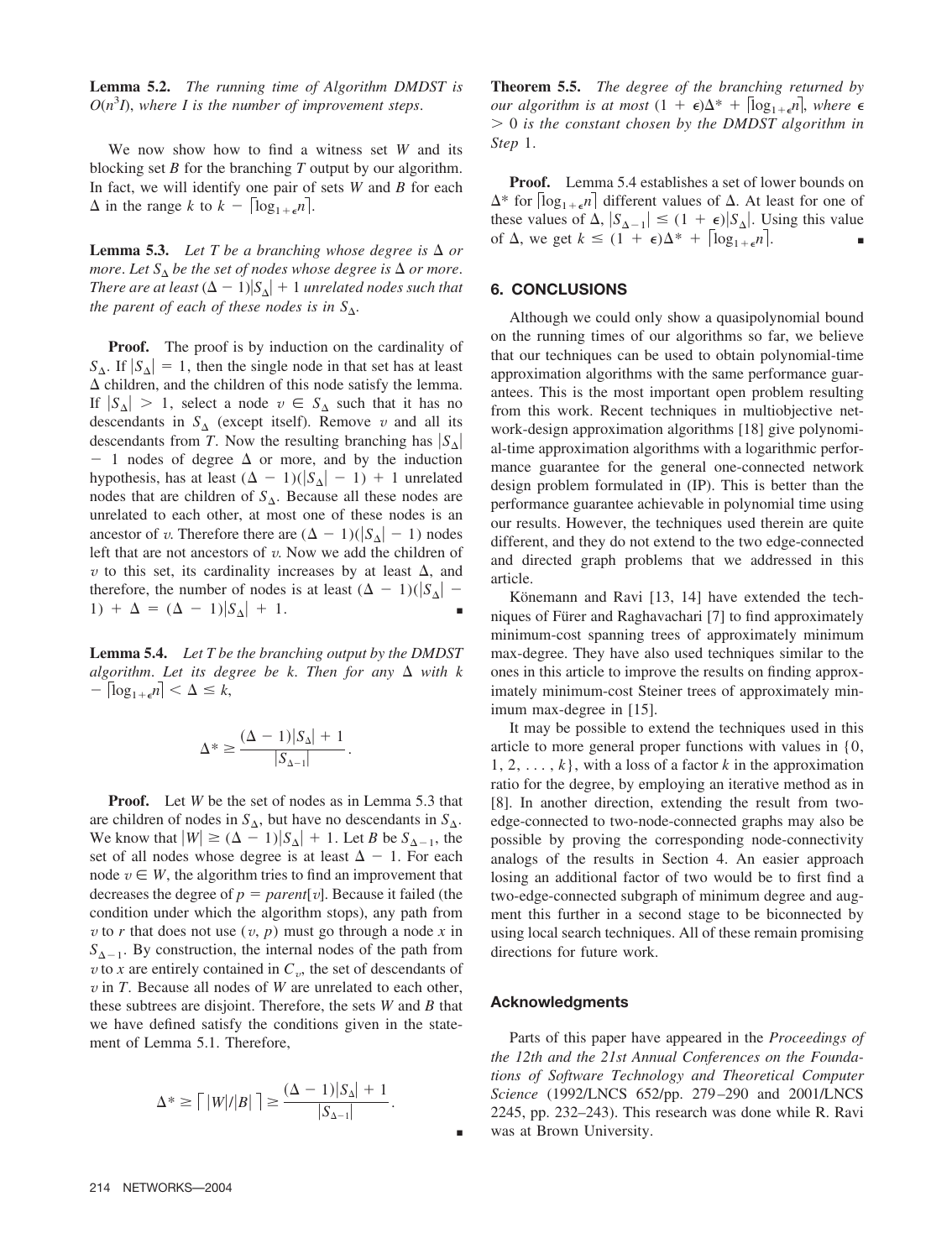**Lemma 5.2.** *The running time of Algorithm DMDST is*  $O(n^3I)$ , where I is the number of improvement steps.

We now show how to find a witness set *W* and its blocking set *B* for the branching *T* output by our algorithm. In fact, we will identify one pair of sets *W* and *B* for each  $\Delta$  in the range *k* to  $k - |\log_{1+\epsilon} n|$ .

**Lemma 5.3.** Let T be a branching whose degree is  $\Delta$  or *more. Let*  $S_{\Lambda}$  *be the set of nodes whose degree is*  $\Delta$  *or more. There are at least*  $(\Delta - 1)|S_{\Lambda}| + 1$  *unrelated nodes such that the parent of each of these nodes is in*  $S_\Lambda$ .

**Proof.** The proof is by induction on the cardinality of  $S_{\Delta}$ . If  $|S_{\Delta}| = 1$ , then the single node in that set has at least  $\Delta$  children, and the children of this node satisfy the lemma. If  $|S_{\Delta}| > 1$ , select a node  $v \in S_{\Delta}$  such that it has no descendants in  $S_{\Delta}$  (except itself). Remove *v* and all its descendants from *T*. Now the resulting branching has  $|S_{\Delta}|$  $-1$  nodes of degree  $\Delta$  or more, and by the induction hypothesis, has at least  $(\Delta - 1)(|S_{\Delta}| - 1) + 1$  unrelated nodes that are children of  $S_\Delta$ . Because all these nodes are unrelated to each other, at most one of these nodes is an ancestor of *v*. Therefore there are  $(\Delta - 1)(|S_{\Delta}| - 1)$  nodes left that are not ancestors of *v*. Now we add the children of  $\nu$  to this set, its cardinality increases by at least  $\Delta$ , and therefore, the number of nodes is at least  $(\Delta - 1)(|S_{\Delta}| -$ 1) +  $\Delta = (\Delta - 1)|S_{\Delta}| + 1$ .

**Lemma 5.4.** *Let T be the branching output by the DMDST* algorithm. Let its degree be  $k$ . Then for any  $\Delta$  with  $k$  $-\left\lceil \log_{1+\epsilon} n \right\rceil < \Delta \leq k$ ,

$$
\Delta^* \geq \frac{(\Delta - 1)|S_{\Delta}| + 1}{|S_{\Delta - 1}|}.
$$

**Proof.** Let *W* be the set of nodes as in Lemma 5.3 that are children of nodes in  $S_{\Delta}$ , but have no descendants in  $S_{\Delta}$ . We know that  $|W| \geq (\Delta - 1)|S_{\Delta}| + 1$ . Let *B* be  $S_{\Delta - 1}$ , the set of all nodes whose degree is at least  $\Delta - 1$ . For each node  $v \in W$ , the algorithm tries to find an improvement that decreases the degree of  $p = parent[v]$ . Because it failed (the condition under which the algorithm stops), any path from *v* to *r* that does not use  $(v, p)$  must go through a node *x* in  $S_{\Lambda-1}$ . By construction, the internal nodes of the path from *v* to *x* are entirely contained in  $C_v$ , the set of descendants of *v* in *T*. Because all nodes of *W* are unrelated to each other, these subtrees are disjoint. Therefore, the sets *W* and *B* that we have defined satisfy the conditions given in the statement of Lemma 5.1. Therefore,

$$
\Delta^* \ge \lceil |W|/|B| \rceil \ge \frac{(\Delta - 1)|S_{\Delta}| + 1}{|S_{\Delta - 1}|}.
$$

**Theorem 5.5.** *The degree of the branching returned by our algorithm is at most*  $(1 + \epsilon)\Delta^* + \lceil \log_{1+\epsilon} n \rceil$ , where  $\epsilon$ - 0 *is the constant chosen by the DMDST algorithm in Step* 1.

**Proof.** Lemma 5.4 establishes a set of lower bounds on  $\Delta^*$  for  $|\log_{1+\epsilon} n|$  different values of  $\Delta$ . At least for one of these values of  $\Delta$ ,  $|S_{\Delta-1}| \leq (1 + \epsilon)|S_{\Delta}|$ . Using this value of  $\Delta$ , we get  $k \leq (1 + \epsilon)\Delta^* + \lceil \log_{1+\epsilon} n \rceil$ .

## **6. CONCLUSIONS**

Although we could only show a quasipolynomial bound on the running times of our algorithms so far, we believe that our techniques can be used to obtain polynomial-time approximation algorithms with the same performance guarantees. This is the most important open problem resulting from this work. Recent techniques in multiobjective network-design approximation algorithms [18] give polynomial-time approximation algorithms with a logarithmic performance guarantee for the general one-connected network design problem formulated in (IP). This is better than the performance guarantee achievable in polynomial time using our results. However, the techniques used therein are quite different, and they do not extend to the two edge-connected and directed graph problems that we addressed in this article.

Könemann and Ravi [13, 14] have extended the techniques of Fürer and Raghavachari [7] to find approximately minimum-cost spanning trees of approximately minimum max-degree. They have also used techniques similar to the ones in this article to improve the results on finding approximately minimum-cost Steiner trees of approximately minimum max-degree in [15].

It may be possible to extend the techniques used in this article to more general proper functions with values in {0,  $1, 2, \ldots, k$ , with a loss of a factor *k* in the approximation ratio for the degree, by employing an iterative method as in [8]. In another direction, extending the result from twoedge-connected to two-node-connected graphs may also be possible by proving the corresponding node-connectivity analogs of the results in Section 4. An easier approach losing an additional factor of two would be to first find a two-edge-connected subgraph of minimum degree and augment this further in a second stage to be biconnected by using local search techniques. All of these remain promising directions for future work.

#### **Acknowledgments**

■

Parts of this paper have appeared in the *Proceedings of the 12th and the 21st Annual Conferences on the Foundations of Software Technology and Theoretical Computer Science* (1992/LNCS 652/pp. 279 –290 and 2001/LNCS 2245, pp. 232–243). This research was done while R. Ravi was at Brown University.